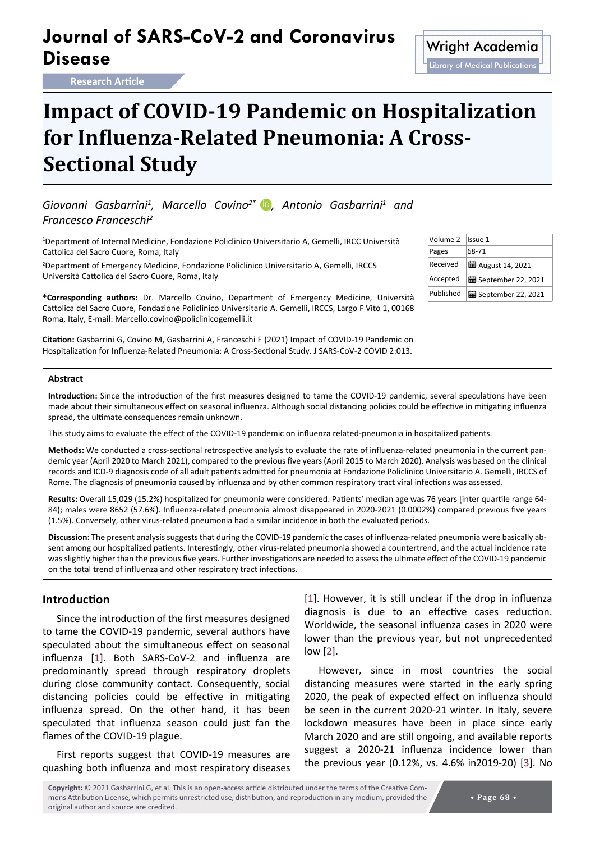## **Journal of SARS-CoV-2 and Coronavirus Disease** Microsoft Contravirus Wright Academia

**Research Article**

# **Impact of COVID-19 Pandemic on Hospitalization for Influenza-Related Pneumonia: A Cross-Sectional Study**

Giovanni Gasbarrini<sup>1</sup>, Marcello Covino<sup>2\*</sup> D, Antonio Gasbarrini<sup>1</sup> and *Francesco Franceschi2*

1 Department of Internal Medicine, Fondazione Policlinico Universitario A, Gemelli, IRCC Università Cattolica del Sacro Cuore, Roma, Italy

2 Department of Emergency Medicine, Fondazione Policlinico Universitario A, Gemelli, IRCCS Università Cattolica del Sacro Cuore, Roma, Italy

**\*Corresponding authors:** Dr. Marcello Covino, Department of Emergency Medicine, Università Cattolica del Sacro Cuore, Fondazione Policlinico Universitario A. Gemelli, IRCCS, Largo F Vito 1, 00168 Roma, Italy, E-mail: Marcello.covino@policlinicogemelli.it

**Citation:** Gasbarrini G, Covino M, Gasbarrini A, Franceschi F (2021) Impact of COVID-19 Pandemic on Hospitalization for Influenza-Related Pneumonia: A Cross-Sectional Study. J SARS-CoV-2 COVID 2:013.

| Volume 2  | Issue 1                     |
|-----------|-----------------------------|
| Pages     | 68-71                       |
| Received  | <b>曲</b> August 14, 2021    |
| Accepted  | <b>量</b> September 22, 2021 |
| Published | September 22, 2021          |

#### **Abstract**

**Introduction:** Since the introduction of the first measures designed to tame the COVID-19 pandemic, several speculations have been made about their simultaneous effect on seasonal influenza. Although social distancing policies could be effective in mitigating influenza spread, the ultimate consequences remain unknown.

This study aims to evaluate the effect of the COVID-19 pandemic on influenza related-pneumonia in hospitalized patients.

**Methods:** We conducted a cross-sectional retrospective analysis to evaluate the rate of influenza-related pneumonia in the current pandemic year (April 2020 to March 2021), compared to the previous five years (April 2015 to March 2020). Analysis was based on the clinical records and ICD-9 diagnosis code of all adult patients admitted for pneumonia at Fondazione Policlinico Universitario A. Gemelli, IRCCS of Rome. The diagnosis of pneumonia caused by influenza and by other common respiratory tract viral infections was assessed.

**Results:** Overall 15,029 (15.2%) hospitalized for pneumonia were considered. Patients' median age was 76 years [inter quartile range 64- 84); males were 8652 (57.6%). Influenza-related pneumonia almost disappeared in 2020-2021 (0.0002%) compared previous five years (1.5%). Conversely, other virus-related pneumonia had a similar incidence in both the evaluated periods.

**Discussion:** The present analysis suggests that during the COVID-19 pandemic the cases of influenza-related pneumonia were basically absent among our hospitalized patients. Interestingly, other virus-related pneumonia showed a countertrend, and the actual incidence rate was slightly higher than the previous five years. Further investigations are needed to assess the ultimate effect of the COVID-19 pandemic on the total trend of influenza and other respiratory tract infections.

## **Introduction**

Since the introduction of the first measures designed to tame the COVID-19 pandemic, several authors have speculated about the simultaneous effect on seasonal influenza [[1](#page-3-0)]. Both SARS-CoV-2 and influenza are predominantly spread through respiratory droplets during close community contact. Consequently, social distancing policies could be effective in mitigating influenza spread. On the other hand, it has been speculated that influenza season could just fan the flames of the COVID-19 plague.

First reports suggest that COVID-19 measures are quashing both influenza and most respiratory diseases [\[1](#page-3-0)]. However, it is still unclear if the drop in influenza diagnosis is due to an effective cases reduction. Worldwide, the seasonal influenza cases in 2020 were lower than the previous year, but not unprecedented low [[2](#page-3-1)].

However, since in most countries the social distancing measures were started in the early spring 2020, the peak of expected effect on influenza should be seen in the current 2020-21 winter. In Italy, severe lockdown measures have been in place since early March 2020 and are still ongoing, and available reports suggest a 2020-21 influenza incidence lower than the previous year (0.12%, vs. 4.6% in2019-20) [\[3](#page-3-2)]. No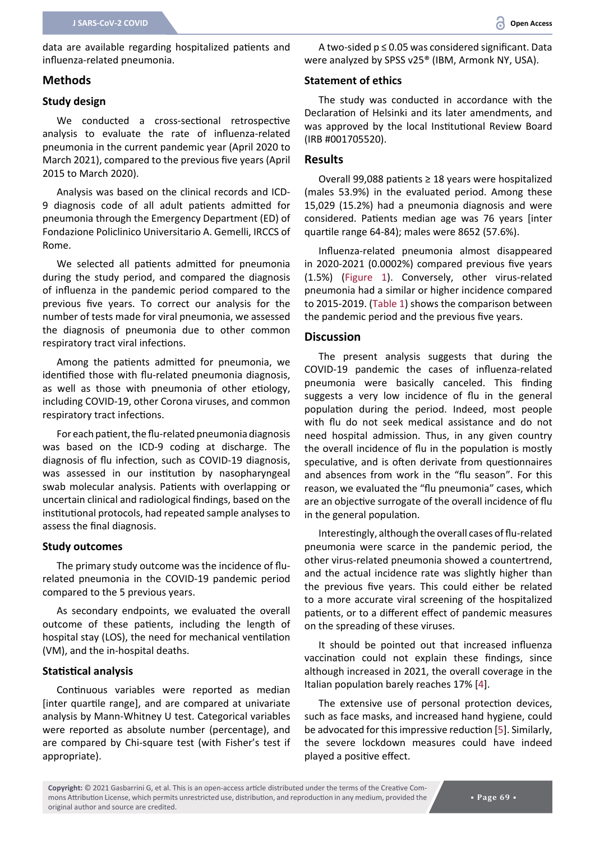data are available regarding hospitalized patients and influenza-related pneumonia.

## **Methods**

## **Study design**

We conducted a cross-sectional retrospective analysis to evaluate the rate of influenza-related pneumonia in the current pandemic year (April 2020 to March 2021), compared to the previous five years (April 2015 to March 2020).

Analysis was based on the clinical records and ICD-9 diagnosis code of all adult patients admitted for pneumonia through the Emergency Department (ED) of Fondazione Policlinico Universitario A. Gemelli, IRCCS of Rome.

We selected all patients admitted for pneumonia during the study period, and compared the diagnosis of influenza in the pandemic period compared to the previous five years. To correct our analysis for the number of tests made for viral pneumonia, we assessed the diagnosis of pneumonia due to other common respiratory tract viral infections.

Among the patients admitted for pneumonia, we identified those with flu-related pneumonia diagnosis, as well as those with pneumonia of other etiology, including COVID-19, other Corona viruses, and common respiratory tract infections.

For each patient, the flu-related pneumonia diagnosis was based on the ICD-9 coding at discharge. The diagnosis of flu infection, such as COVID-19 diagnosis, was assessed in our institution by nasopharyngeal swab molecular analysis. Patients with overlapping or uncertain clinical and radiological findings, based on the institutional protocols, had repeated sample analyses to assess the final diagnosis.

## **Study outcomes**

The primary study outcome was the incidence of flurelated pneumonia in the COVID-19 pandemic period compared to the 5 previous years.

As secondary endpoints, we evaluated the overall outcome of these patients, including the length of hospital stay (LOS), the need for mechanical ventilation (VM), and the in-hospital deaths.

### **Statistical analysis**

Continuous variables were reported as median [inter quartile range], and are compared at univariate analysis by Mann-Whitney U test. Categorical variables were reported as absolute number (percentage), and are compared by Chi-square test (with Fisher's test if appropriate).

A two-sided p ≤ 0.05 was considered significant. Data were analyzed by SPSS v25® (IBM, Armonk NY, USA).

## **Statement of ethics**

The study was conducted in accordance with the Declaration of Helsinki and its later amendments, and was approved by the local Institutional Review Board (IRB #001705520).

#### **Results**

Overall 99,088 patients ≥ 18 years were hospitalized (males 53.9%) in the evaluated period. Among these 15,029 (15.2%) had a pneumonia diagnosis and were considered. Patients median age was 76 years [inter quartile range 64-84); males were 8652 (57.6%).

Influenza-related pneumonia almost disappeared in 2020-2021 (0.0002%) compared previous five years (1.5%) [\(Figure 1](#page-2-0)). Conversely, other virus-related pneumonia had a similar or higher incidence compared to 2015-2019. ([Table 1](#page-3-3)) shows the comparison between the pandemic period and the previous five years.

#### **Discussion**

The present analysis suggests that during the COVID-19 pandemic the cases of influenza-related pneumonia were basically canceled. This finding suggests a very low incidence of flu in the general population during the period. Indeed, most people with flu do not seek medical assistance and do not need hospital admission. Thus, in any given country the overall incidence of flu in the population is mostly speculative, and is often derivate from questionnaires and absences from work in the "flu season". For this reason, we evaluated the "flu pneumonia" cases, which are an objective surrogate of the overall incidence of flu in the general population.

Interestingly, although the overall cases of flu-related pneumonia were scarce in the pandemic period, the other virus-related pneumonia showed a countertrend, and the actual incidence rate was slightly higher than the previous five years. This could either be related to a more accurate viral screening of the hospitalized patients, or to a different effect of pandemic measures on the spreading of these viruses.

It should be pointed out that increased influenza vaccination could not explain these findings, since although increased in 2021, the overall coverage in the Italian population barely reaches 17% [[4](#page-3-4)].

The extensive use of personal protection devices, such as face masks, and increased hand hygiene, could be advocated for this impressive reduction [\[5\]](#page-3-5). Similarly, the severe lockdown measures could have indeed played a positive effect.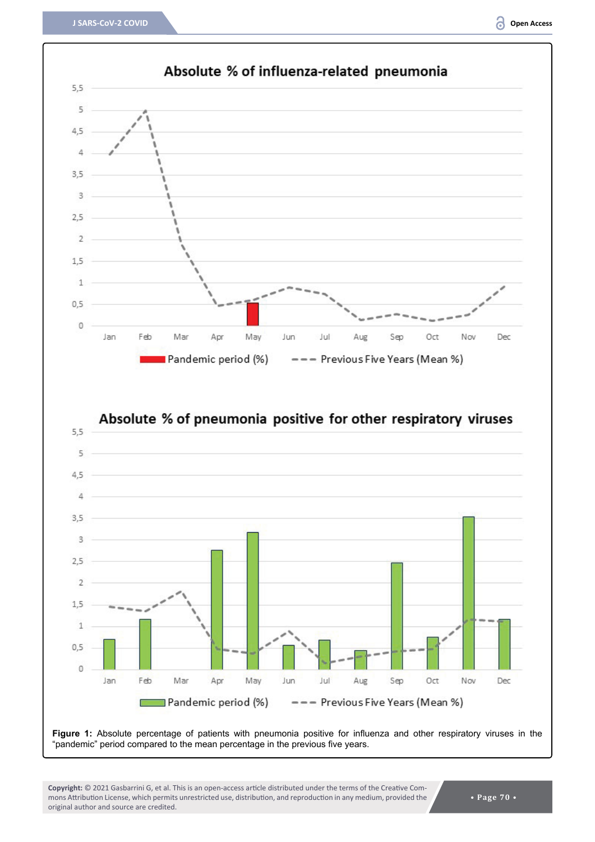<span id="page-2-0"></span>

**Figure 1:** Absolute percentage of patients with pneumonia positive for influenza and other respiratory viruses in the "pandemic" period compared to the mean percentage in the previous five years.